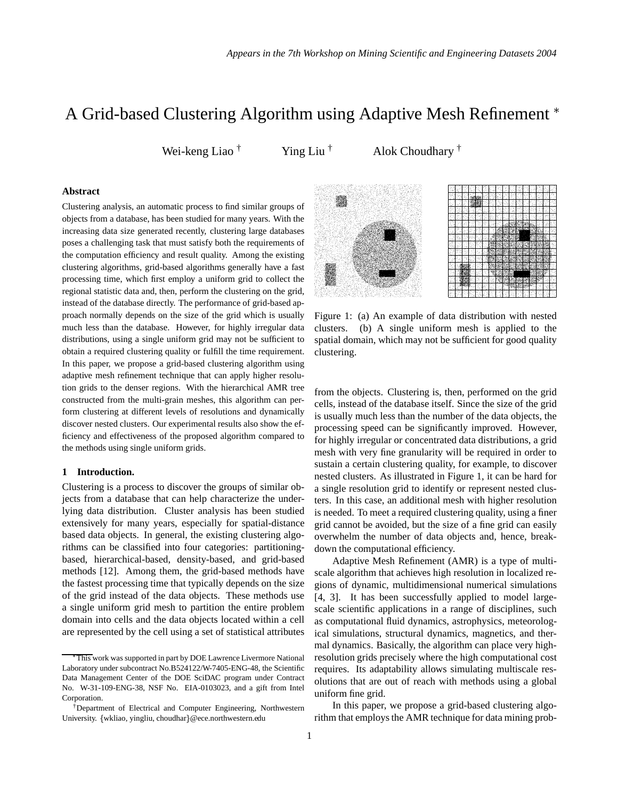# A Grid-based Clustering Algorithm using Adaptive Mesh Refinement

Wei-keng Liao  $^{\dagger}$  Ying Liu  $^{\dagger}$  Alok Choudhary  $^{\dagger}$ 

# **Abstract**

Clustering analysis, an automatic process to find similar groups of objects from a database, has been studied for many years. With the increasing data size generated recently, clustering large databases poses a challenging task that must satisfy both the requirements of the computation efficiency and result quality. Among the existing clustering algorithms, grid-based algorithms generally have a fast processing time, which first employ a uniform grid to collect the regional statistic data and, then, perform the clustering on the grid, instead of the database directly. The performance of grid-based approach normally depends on the size of the grid which is usually much less than the database. However, for highly irregular data distributions, using a single uniform grid may not be sufficient to obtain a required clustering quality or fulfill the time requirement. In this paper, we propose a grid-based clustering algorithm using adaptive mesh refinement technique that can apply higher resolution grids to the denser regions. With the hierarchical AMR tree constructed from the multi-grain meshes, this algorithm can perform clustering at different levels of resolutions and dynamically discover nested clusters. Our experimental results also show the efficiency and effectiveness of the proposed algorithm compared to the methods using single uniform grids.

#### **1 Introduction.**

Clustering is a process to discover the groups of similar objects from a database that can help characterize the underlying data distribution. Cluster analysis has been studied extensively for many years, especially for spatial-distance based data objects. In general, the existing clustering algorithms can be classified into four categories: partitioningbased, hierarchical-based, density-based, and grid-based methods [12]. Among them, the grid-based methods have the fastest processing time that typically depends on the size of the grid instead of the data objects. These methods use a single uniform grid mesh to partition the entire problem domain into cells and the data objects located within a cell are represented by the cell using a set of statistical attributes



Figure 1: (a) An example of data distribution with nested clusters. (b) A single uniform mesh is applied to the spatial domain, which may not be sufficient for good quality clustering.

from the objects. Clustering is, then, performed on the grid cells, instead of the database itself. Since the size of the grid is usually much less than the number of the data objects, the processing speed can be significantly improved. However, for highly irregular or concentrated data distributions, a grid mesh with very fine granularity will be required in order to sustain a certain clustering quality, for example, to discover nested clusters. As illustrated in Figure 1, it can be hard for a single resolution grid to identify or represent nested clusters. In this case, an additional mesh with higher resolution is needed. To meet a required clustering quality, using afiner grid cannot be avoided, but the size of a fine grid can easily overwhelm the number of data objects and, hence, breakdown the computational efficiency.

Adaptive Mesh Refinement (AMR) is a type of multiscale algorithm that achieves high resolution in localized regions of dynamic, multidimensional numerical simulations [4, 3]. It has been successfully applied to model largescale scientific applications in a range of disciplines, such as computational fluid dynamics, astrophysics, meteorological simulations, structural dynamics, magnetics, and thermal dynamics. Basically, the algorithm can place very highresolution grids precisely where the high computational cost requires. Its adaptability allows simulating multiscale resolutions that are out of reach with methods using a global uniform fine grid.

In this paper, we propose a grid-based clustering algorithm that employs the AMR technique for data mining prob-

This work was supported in part by DOE Lawrence Livermore National Laboratory under subcontract No.B524122/W-7405-ENG-48, the Scientific Data Management Center of the DOE SciDAC program under Contract No. W-31-109-ENG-38, NSF No. EIA-0103023, and a gift from Intel Corporation.

<sup>†</sup>Department of Electrical and Computer Engineering, Northwestern University. {wkliao, yingliu, choudhar}@ece.northwestern.edu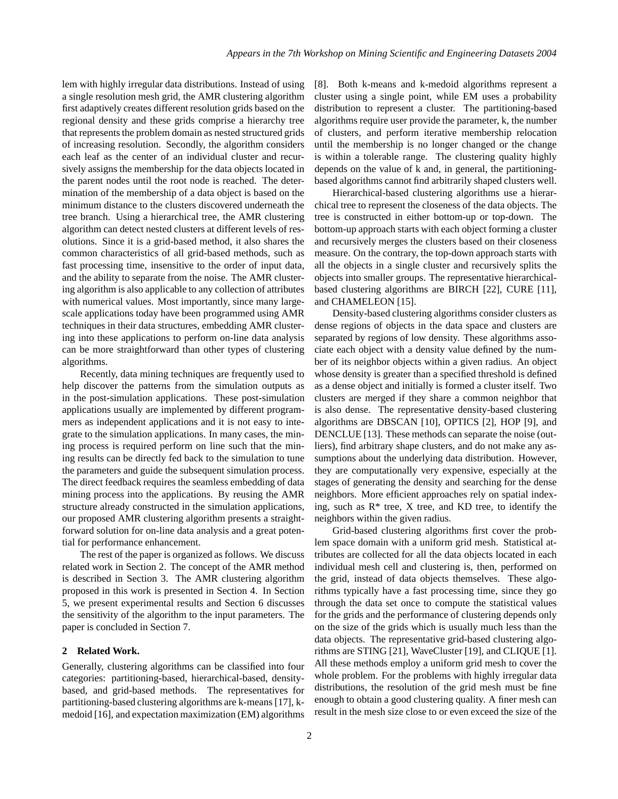lem with highly irregular data distributions. Instead of using a single resolution mesh grid, the AMR clustering algorithm first adaptively creates different resolution grids based on the regional density and these grids comprise a hierarchy tree that represents the problem domain as nested structured grids of increasing resolution. Secondly, the algorithm considers each leaf as the center of an individual cluster and recursively assigns the membership for the data objects located in the parent nodes until the root node is reached. The determination of the membership of a data object is based on the minimum distance to the clusters discovered underneath the tree branch. Using a hierarchical tree, the AMR clustering algorithm can detect nested clusters at different levels of resolutions. Since it is a grid-based method, it also shares the common characteristics of all grid-based methods, such as fast processing time, insensitive to the order of input data, and the ability to separate from the noise. The AMR clustering algorithm is also applicable to any collection of attributes with numerical values. Most importantly, since many largescale applications today have been programmed using AMR techniques in their data structures, embedding AMR clustering into these applications to perform on-line data analysis can be more straightforward than other types of clustering algorithms.

Recently, data mining techniques are frequently used to help discover the patterns from the simulation outputs as in the post-simulation applications. These post-simulation applications usually are implemented by different programmers as independent applications and it is not easy to integrate to the simulation applications. In many cases, the mining process is required perform on line such that the mining results can be directly fed back to the simulation to tune the parameters and guide the subsequent simulation process. The direct feedback requires the seamless embedding of data mining process into the applications. By reusing the AMR structure already constructed in the simulation applications, our proposed AMR clustering algorithm presents a straightforward solution for on-line data analysis and a great potential for performance enhancement.

The rest of the paper is organized as follows. We discuss related work in Section 2. The concept of the AMR method is described in Section 3. The AMR clustering algorithm proposed in this work is presented in Section 4. In Section 5, we present experimental results and Section 6 discusses the sensitivity of the algorithm to the input parameters. The paper is concluded in Section 7.

#### **2 Related Work.**

Generally, clustering algorithms can be classified into four categories: partitioning-based, hierarchical-based, densitybased, and grid-based methods. The representatives for partitioning-based clustering algorithms are k-means [17], kmedoid [16], and expectation maximization (EM) algorithms

[8]. Both k-means and k-medoid algorithms represent a cluster using a single point, while EM uses a probability distribution to represent a cluster. The partitioning-based algorithms require user provide the parameter, k, the number of clusters, and perform iterative membership relocation until the membership is no longer changed or the change is within a tolerable range. The clustering quality highly depends on the value of k and, in general, the partitioningbased algorithms cannot find arbitrarily shaped clusters well.

Hierarchical-based clustering algorithms use a hierarchical tree to represent the closeness of the data objects. The tree is constructed in either bottom-up or top-down. The bottom-up approach starts with each object forming a cluster and recursively merges the clusters based on their closeness measure. On the contrary, the top-down approach starts with all the objects in a single cluster and recursively splits the objects into smaller groups. The representative hierarchicalbased clustering algorithms are BIRCH [22], CURE [11], and CHAMELEON [15].

Density-based clustering algorithms consider clusters as dense regions of objects in the data space and clusters are separated by regions of low density. These algorithms associate each object with a density value defined by the number of its neighbor objects within a given radius. An object whose density is greater than a specified threshold is defined as a dense object and initially is formed a cluster itself. Two clusters are merged if they share a common neighbor that is also dense. The representative density-based clustering algorithms are DBSCAN [10], OPTICS [2], HOP [9], and DENCLUE [13]. These methods can separate the noise (outliers), find arbitrary shape clusters, and do not make any assumptions about the underlying data distribution. However, they are computationally very expensive, especially at the stages of generating the density and searching for the dense neighbors. More efficient approaches rely on spatial indexing, such as  $R^*$  tree, X tree, and KD tree, to identify the neighbors within the given radius.

Grid-based clustering algorithms first cover the problem space domain with a uniform grid mesh. Statistical attributes are collected for all the data objects located in each individual mesh cell and clustering is, then, performed on the grid, instead of data objects themselves. These algorithms typically have a fast processing time, since they go through the data set once to compute the statistical values for the grids and the performance of clustering depends only on the size of the grids which is usually much less than the data objects. The representative grid-based clustering algorithms are STING [21], WaveCluster [19], and CLIQUE [1]. All these methods employ a uniform grid mesh to cover the whole problem. For the problems with highly irregular data distributions, the resolution of the grid mesh must be fine enough to obtain a good clustering quality. A finer mesh can result in the mesh size close to or even exceed the size of the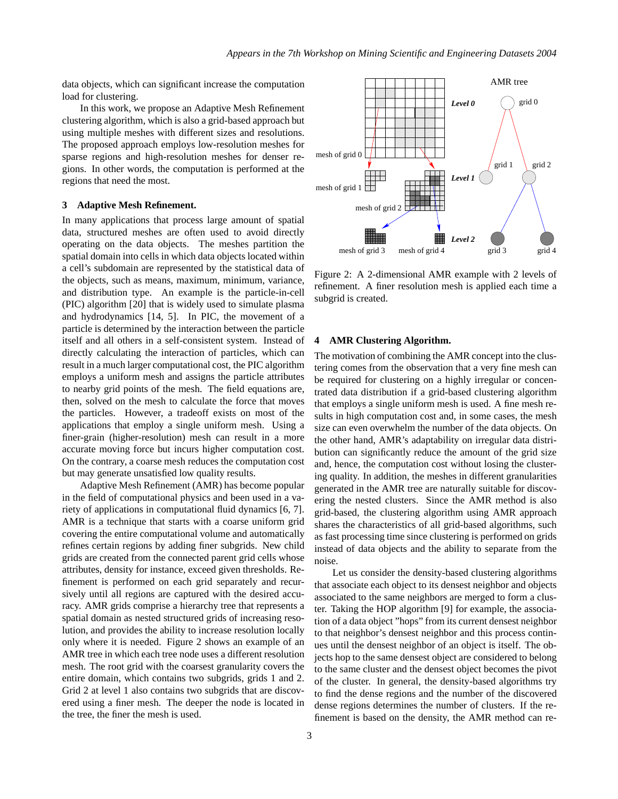data objects, which can significant increase the computation load for clustering.

In this work, we propose an Adaptive Mesh Refinement clustering algorithm, which is also a grid-based approach but using multiple meshes with different sizes and resolutions. The proposed approach employs low-resolution meshes for sparse regions and high-resolution meshes for denser regions. In other words, the computation is performed at the regions that need the most.

## **3 Adaptive Mesh Refinement.**

In many applications that process large amount of spatial data, structured meshes are often used to avoid directly operating on the data objects. The meshes partition the spatial domain into cells in which data objects located within a cell's subdomain are represented by the statistical data of the objects, such as means, maximum, minimum, variance, and distribution type. An example is the particle-in-cell (PIC) algorithm [20] that is widely used to simulate plasma and hydrodynamics [14, 5]. In PIC, the movement of a particle is determined by the interaction between the particle itself and all others in a self-consistent system. Instead of directly calculating the interaction of particles, which can result in a much larger computational cost, the PIC algorithm employs a uniform mesh and assigns the particle attributes to nearby grid points of the mesh. The field equations are, then, solved on the mesh to calculate the force that moves the particles. However, a tradeoff exists on most of the applications that employ a single uniform mesh. Using a finer-grain (higher-resolution) mesh can result in a more accurate moving force but incurs higher computation cost. On the contrary, a coarse mesh reduces the computation cost but may generate unsatisfied low quality results.

Adaptive Mesh Refinement (AMR) has become popular in the field of computational physics and been used in a variety of applications in computational fluid dynamics [6, 7]. AMR is a technique that starts with a coarse uniform grid covering the entire computational volume and automatically refines certain regions by adding finer subgrids. New child grids are created from the connected parent grid cells whose attributes, density for instance, exceed given thresholds. Refinement is performed on each grid separately and recursively until all regions are captured with the desired accuracy. AMR grids comprise a hierarchy tree that represents a spatial domain as nested structured grids of increasing resolution, and provides the ability to increase resolution locally only where it is needed. Figure 2 shows an example of an AMR tree in which each tree node uses a different resolution mesh. The root grid with the coarsest granularity covers the entire domain, which contains two subgrids, grids 1 and 2. Grid 2 at level 1 also contains two subgrids that are discovered using a finer mesh. The deeper the node is located in the tree, the finer the mesh is used.



Figure 2: A 2-dimensional AMR example with 2 levels of refinement. A finer resolution mesh is applied each time a subgrid is created.

#### **4 AMR Clustering Algorithm.**

The motivation of combining the AMR conceptinto the clustering comes from the observation that a very fine mesh can be required for clustering on a highly irregular or concentrated data distribution if a grid-based clustering algorithm that employs a single uniform mesh is used. A fine mesh results in high computation cost and, in some cases, the mesh size can even overwhelm the number of the data objects. On the other hand, AMR's adaptability on irregular data distribution can significantly reduce the amount of the grid size and, hence, the computation cost without losing the clustering quality. In addition, the meshes in different granularities generated in the AMR tree are naturally suitable for discovering the nested clusters. Since the AMR method is also grid-based, the clustering algorithm using AMR approach shares the characteristics of all grid-based algorithms, such as fast processing time since clustering is performed on grids instead of data objects and the ability to separate from the noise.

Let us consider the density-based clustering algorithms that associate each object to its densest neighbor and objects associated to the same neighbors are merged to form a cluster. Taking the HOP algorithm [9] for example, the association of a data object "hops" from its current densest neighbor to that neighbor's densest neighbor and this process continues until the densest neighbor of an object is itself. The objects hop to the same densest object are considered to belong to the same cluster and the densest object becomes the pivot of the cluster. In general, the density-based algorithms try to find the dense regions and the number of the discovered dense regions determines the number of clusters. If the refinement is based on the density, the AMR method can re-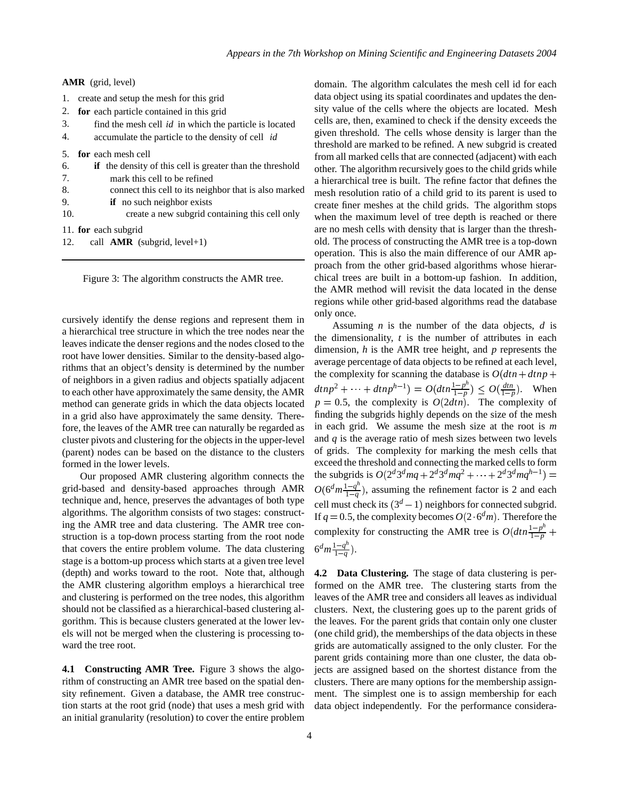| <b>AMR</b> (grid, level)                                               |
|------------------------------------------------------------------------|
| create and setup the mesh for this grid<br>1.                          |
| for each particle contained in this grid<br>2.                         |
| 3.<br>find the mesh cell <i>id</i> in which the particle is located    |
| 4.<br>accumulate the particle to the density of cell <i>id</i>         |
| for each mesh cell<br>5.                                               |
| <b>if</b> the density of this cell is greater than the threshold<br>6. |
| 7.<br>mark this cell to be refined                                     |
| 8.<br>connect this cell to its neighbor that is also marked            |
| <b>if</b> no such neighbor exists<br>9.                                |
| 10.<br>create a new subgrid containing this cell only                  |
| 11. for each subgrid                                                   |
|                                                                        |

call **AMR** (subgrid, level+1) 12.

Figure 3: The algorithm constructs the AMR tree.

cursively identify the dense regions and represent them in a hierarchical tree structure in which the tree nodes near the leaves indicate the denser regions and the nodes closed to the root have lower densities. Similar to the density-based algorithms that an object's density is determined by the number of neighbors in a given radius and objects spatially adjacent to each other have approximately the same density, the AMR method can generate grids in which the data objects located in a grid also have approximately the same density. Therefore, the leaves of the AMR tree can naturally be regarded as cluster pivots and clustering for the objects in the upper-level (parent) nodes can be based on the distance to the clusters formed in the lower levels.

Our proposed AMR clustering algorithm connects the grid-based and density-based approaches through AMR technique and, hence, preserves the advantages of both type algorithms. The algorithm consists of two stages: constructing the AMR tree and data clustering. The AMR tree construction is a top-down process starting from the root node that covers the entire problem volume. The data clustering stage is a bottom-up process which starts at a given tree level (depth) and works toward to the root. Note that, although the AMR clustering algorithm employs a hierarchical tree and clustering is performed on the tree nodes, this algorithm should not be classified as a hierarchical-based clustering algorithm. This is because clusters generated at the lower levels will not be merged when the clustering is processing toward the tree root.

**4.1 Constructing AMR Tree.** Figure 3 shows the algorithm of constructing an AMR tree based on the spatial density refinement. Given a database, the AMR tree construction starts at the root grid (node) that uses a mesh grid with an initial granularity (resolution) to cover the entire problem

domain. The algorithm calculates the mesh cell id for each data object using its spatial coordinates and updates the density value of the cells where the objects are located. Mesh cells are, then, examined to check if the density exceeds the given threshold. The cells whose density is larger than the threshold are marked to be refined. A new subgrid is created from all marked cells that are connected (adjacent) with each other. The algorithm recursively goes to the child grids while a hierarchical tree is built. The refine factor that defines the mesh resolution ratio of a child grid to its parent is used to create finer meshes at the child grids. The algorithm stops when the maximum level of tree depth is reached or there are no mesh cells with density that is larger than the threshold. The process of constructing the AMR tree is a top-down operation. This is also the main difference of our AMR approach from the other grid-based algorithms whose hierarchical trees are built in a bottom-up fashion. In addition, the AMR method will revisit the data located in the dense regions while other grid-based algorithms read the database only once.

Assuming *n* is the number of the data objects, *d* is the dimensionality, *t* is the number of attributes in each dimension, *h* is the AMR tree height, and *p* represents the average percentage of data objects to be refined at each level, the complexity for scanning the database is  $O(dtn + dtnp +$  $dtnp^2 + \dots + dtnp^{h-1}) = O(dtn\frac{1-p^h}{1-p}) \leq O(\frac{dm}{1-p})$ . When  $p = 0.5$ , the complexity is  $O(2dtn)$ . The complexity of finding the subgrids highly depends on the size of the mesh in each grid. We assume the mesh size at the root is *m* and *q* is the average ratio of mesh sizes between two levels of grids. The complexity for marking the mesh cells that exceed the threshold and connecting the marked cells to form the subgrids is  $O(2^d 3^d mq + 2^d 3^d mq^2 + \cdots + 2^d 3^d mq^{h-1}) =$  $O(6^d m \frac{1-q^h}{1-q^h})$  $\frac{1-q^2}{1-q}$ ), assuming the refinement factor is 2 and each cell must check its  $(3<sup>d</sup> - 1)$  neighbors for connected subgrid. If  $q = 0.5$ , the complexity becomes  $O(2 \cdot 6^d m)$ . Therefore the complexity for constructing the AMR tree is  $O(dtn\frac{1-p^h}{1-p} +$  $\frac{1-p}{1-p}$  $6^{d}m\frac{1-q^{h}}{1-q}$  $\frac{q^{1}-q^{2}}{1-q}$ .

**4.2 Data Clustering.** The stage of data clustering is performed on the AMR tree. The clustering starts from the leaves of the AMR tree and considers all leaves as individual clusters. Next, the clustering goes up to the parent grids of the leaves. For the parent grids that contain only one cluster (one child grid), the memberships of the data objects in these grids are automatically assigned to the only cluster. For the parent grids containing more than one cluster, the data objects are assigned based on the shortest distance from the clusters. There are many options for the membership assignment. The simplest one is to assign membership for each data object independently. For the performance considera-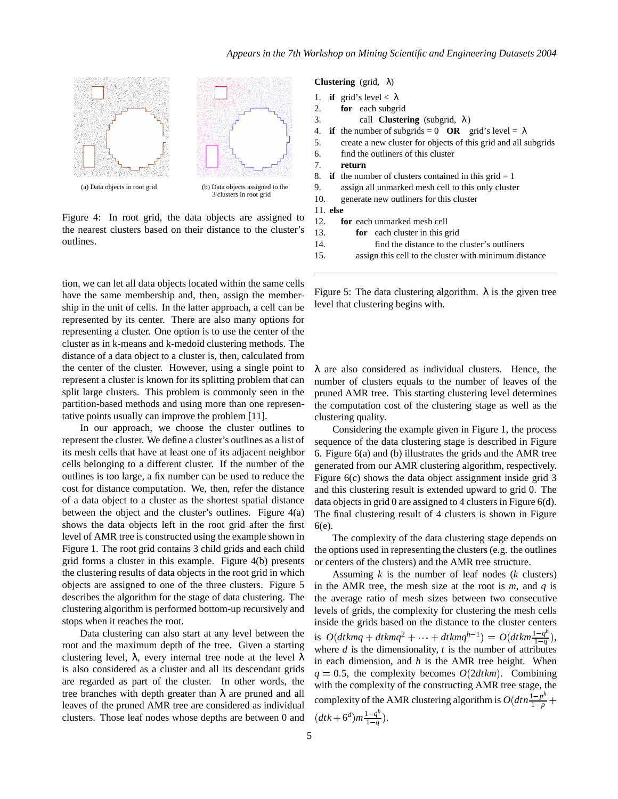

Figure 4: In root grid, the data objects are assigned to the nearest clusters based on their distance to the cluster's outlines.

tion, we can let all data objects located within the same cells have the same membership and, then, assign the membership in the unit of cells. In the latter approach, a cell can be represented by its center. There are also many options for representing a cluster. One option is to use the center of the cluster as in k-means and k-medoid clustering methods. The distance of a data object to a cluster is, then, calculated from the center of the cluster. However, using a single point to represent a cluster is known for its splitting problem that can split large clusters. This problem is commonly seen in the partition-based methods and using more than one representative points usually can improve the problem [11].

In our approach, we choose the cluster outlines to represent the cluster. We define a cluster's outlines as a list of its mesh cells that have at least one of its adjacent neighbor cells belonging to a different cluster. If the number of the outlines is too large, a fix number can be used to reduce the cost for distance computation. We, then, refer the distance of a data object to a cluster as the shortest spatial distance between the object and the cluster's outlines. Figure 4(a) shows the data objects left in the root grid after the first level of AMR tree is constructed using the example shown in Figure 1. The root grid contains 3 child grids and each child grid forms a cluster in this example. Figure 4(b) presents the clustering results of data objects in the root grid in which objects are assigned to one of the three clusters. Figure 5 describes the algorithm for the stage of data clustering. The clustering algorithm is performed bottom-up recursively and stops when it reaches the root.

Data clustering can also start at any level between the root and the maximum depth of the tree. Given a starting clustering level,  $\lambda$ , every internal tree node at the level  $\lambda$ is also considered as a cluster and all its descendant grids are regarded as part of the cluster. In other words, the tree branches with depth greater than  $\lambda$  are pruned and all leaves of the pruned AMR tree are considered as individual clusters. Those leaf nodes whose depths are between 0 and **Clustering** (grid, λ)

| 1. if grid's level $< \lambda$ |  |
|--------------------------------|--|
|--------------------------------|--|

- **for** each subgrid 2.
- call **Clustering** (subgrid, λ) 3.
- **if** the number of subgrids = 0 **OR** grid's level =  $\lambda$ 4.
- find the outliners of this cluster create a new cluster for objects of this grid and all subgrids 5. 6.

**return** 7.

- **if** the number of clusters contained in this grid  $= 1$ 8.
- assign all unmarked mesh cell to this only cluster 9.
- generate new outliners for this cluster 10.

**else** 11.

- **for** each unmarked mesh cell 12.
- **for** each cluster in this grid 13.
- find the distance to the cluster's outliners 14.
- 15. assign this cell to the cluster with minimum distance

Figure 5: The data clustering algorithm.  $\lambda$  is the given tree level that clustering begins with.

 $\lambda$  are also considered as individual clusters. Hence, the number of clusters equals to the number of leaves of the pruned AMR tree. This starting clustering level determines the computation cost of the clustering stage as well as the clustering quality.

Considering the example given in Figure 1, the process sequence of the data clustering stage is described in Figure 6. Figure 6(a) and (b) illustrates the grids and the AMR tree generated from our AMR clustering algorithm, respectively. Figure 6(c) shows the data object assignment inside grid 3 and this clustering result is extended upward to grid 0. The data objects in grid 0 are assigned to 4 clusters in Figure  $6(d)$ . The final clustering result of 4 clusters is shown in Figure 6(e).

The complexity of the data clustering stage depends on the options used in representing the clusters (e.g. the outlines or centers of the clusters) and the AMR tree structure.

Assuming *k* is the number of leaf nodes (*k* clusters) in the AMR tree, the mesh size at the root is *m*, and *q* is the average ratio of mesh sizes between two consecutive levels of grids, the complexity for clustering the mesh cells inside the grids based on the distance to the cluster centers is  $O(dtkmq + dtkmq^{2} + \cdots + dtkmq^{h-1}) = O(dtkm\frac{1-q^{h}}{1-q})$  $\frac{1-q^4}{1-q}$ ), where *d* is the dimensionality, *t* is the number of attributes in each dimension, and *h* is the AMR tree height. When  $q = 0.5$ , the complexity becomes  $O(2dtkm)$ . Combining with the complexity of the constructing AMR tree stage, the complexity of the AMR clustering algorithm is  $O(dtn\frac{1-p^h}{1-p} +$  $1-p$ <sup>-</sup>  $(dtk+6^d)m\frac{1-q^h}{1-q}$ .  $\frac{q^{1}-q^{2}}{1-q}$ ).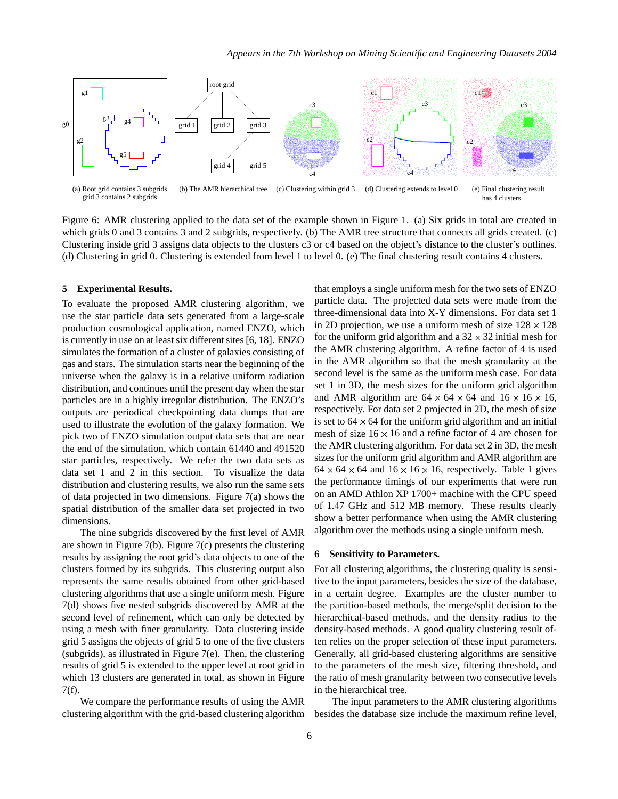

Figure 6: AMR clustering applied to the data set of the example shown in Figure 1. (a) Six grids in total are created in which grids 0 and 3 contains 3 and 2 subgrids, respectively. (b) The AMR tree structure that connects all grids created. (c) Clustering inside grid 3 assigns data objects to the clusters c3 or c4 based on the object's distance to the cluster's outlines. (d) Clustering in grid 0. Clustering is extended from level 1 to level 0. (e) The final clustering result contains 4 clusters.

#### **5 Experimental Results.**

To evaluate the proposed AMR clustering algorithm, we use the star particle data sets generated from a large-scale production cosmological application, named ENZO, which is currently in use on at least six different sites [6, 18]. ENZO simulates the formation of a cluster of galaxies consisting of gas and stars. The simulation starts near the beginning of the universe when the galaxy is in a relative uniform radiation distribution, and continues until the present day when the star particles are in a highly irregular distribution. The ENZO's outputs are periodical checkpointing data dumps that are used to illustrate the evolution of the galaxy formation. We pick two of ENZO simulation output data sets that are near the end of the simulation, which contain 61440 and 491520 star particles, respectively. We refer the two data sets as data set 1 and 2 in this section. To visualize the data distribution and clustering results, we also run the same sets of data projected in two dimensions. Figure 7(a) shows the spatial distribution of the smaller data set projected in two dimensions.

The nine subgrids discovered by the first level of AMR are shown in Figure 7(b). Figure 7(c) presents the clustering results by assigning the root grid's data objects to one of the clusters formed by its subgrids. This clustering output also represents the same results obtained from other grid-based clustering algorithms that use a single uniform mesh. Figure 7(d) shows five nested subgrids discovered by AMR at the second level of refinement, which can only be detected by using a mesh with finer granularity. Data clustering inside grid 5 assigns the objects of grid 5 to one of the five clusters (subgrids), as illustrated in Figure 7(e). Then, the clustering results of grid 5 is extended to the upper level at root grid in which 13 clusters are generated in total, as shown in Figure 7(f).

We compare the performance results of using the AMR clustering algorithm with the grid-based clustering algorithm

that employs a single uniform mesh for the two sets of ENZO particle data. The projected data sets were made from the three-dimensional data into X-Y dimensions. For data set 1 in 2D projection, we use a uniform mesh of size  $128 \times 128$ for the uniform grid algorithm and a  $32 \times 32$  initial mesh for the AMR clustering algorithm. A refine factor of 4 is used in the AMR algorithm so that the mesh granularity at the second level is the same as the uniform mesh case. For data set 1 in 3D, the mesh sizes for the uniform grid algorithm and AMR algorithm are  $64 \times 64 \times 64$  and  $16 \times 16 \times 16$ , respectively. For data set 2 projected in 2D, the mesh of size is set to  $64 \times 64$  for the uniform grid algorithm and an initial mesh of size  $16 \times 16$  and a refine factor of 4 are chosen for the AMR clustering algorithm. For data set  $2$  in  $3D$ , the mesh sizes for the uniform grid algorithm and AMR algorithm are  $64 \times 64 \times 64$  and  $16 \times 16 \times 16$ , respectively. Table 1 gives the performance timings of our experiments that were run on an AMD Athlon XP 1700+ machine with the CPU speed of 1.47 GHz and 512 MB memory. These results clearly show a better performance when using the AMR clustering algorithm over the methods using a single uniform mesh.

#### **6 Sensitivity to Parameters.**

For all clustering algorithms, the clustering quality is sensitive to the input parameters, besides the size of the database, in a certain degree. Examples are the cluster number to the partition-based methods, the merge/split decision to the hierarchical-based methods, and the density radius to the density-based methods. A good quality clustering result often relies on the proper selection of these input parameters. Generally, all grid-based clustering algorithms are sensitive to the parameters of the mesh size, filtering threshold, and the ratio of mesh granularity between two consecutive levels in the hierarchical tree.

The input parameters to the AMR clustering algorithms besides the database size include the maximum refine level,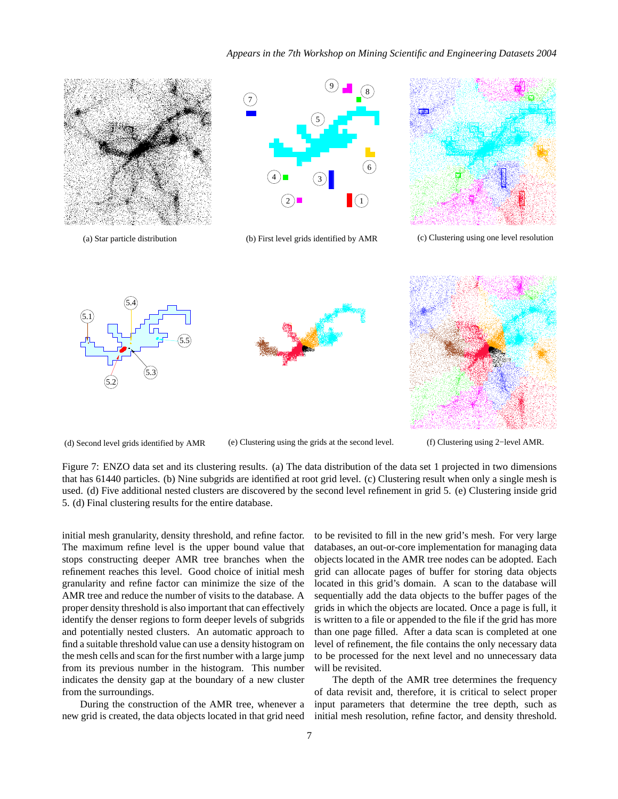#### *Appears in the 7th Workshop on Mining Scientific and Engineering Datasets 2004*



(a) Star particle distribution



(b) First level grids identified by AMR



(c) Clustering using one level resolution



(d) Second level grids identified by AMR





(f) Clustering using 2−level AMR.

Figure 7: ENZO data set and its clustering results. (a) The data distribution of the data set 1 projected in two dimensions that has 61440 particles. (b) Nine subgrids are identified at root grid level. (c) Clustering result when only a single mesh is used. (d) Five additional nested clusters are discovered by the second level refinement in grid 5. (e) Clustering inside grid 5. (d) Final clustering results for the entire database.

(e) Clustering using the grids at the second level.

initial mesh granularity, density threshold, and refine factor. The maximum refine level is the upper bound value that stops constructing deeper AMR tree branches when the refinement reaches this level. Good choice of initial mesh granularity and refine factor can minimize the size of the AMR tree and reduce the number of visits to the database. A proper density threshold is also important that can effectively identify the denser regions to form deeper levels of subgrids and potentially nested clusters. An automatic approach to find a suitable threshold value can use a density histogram on the mesh cells and scan for the first number with a large jump from its previous number in the histogram. This number indicates the density gap at the boundary of a new cluster from the surroundings.

During the construction of the AMR tree, whenever a new grid is created, the data objects located in that grid need

to be revisited to fill in the new grid's mesh. For very large databases, an out-or-core implementation for managing data objects located in the AMR tree nodes can be adopted. Each grid can allocate pages of buffer for storing data objects located in this grid's domain. A scan to the database will sequentially add the data objects to the buffer pages of the grids in which the objects are located. Once a page is full, it is written to a file or appended to the file if the grid has more than one page filled. After a data scan is completed at one level of refinement, the file contains the only necessary data to be processed for the next level and no unnecessary data will be revisited.

The depth of the AMR tree determines the frequency of data revisit and, therefore, it is critical to select proper input parameters that determine the tree depth, such as initial mesh resolution, refine factor, and density threshold.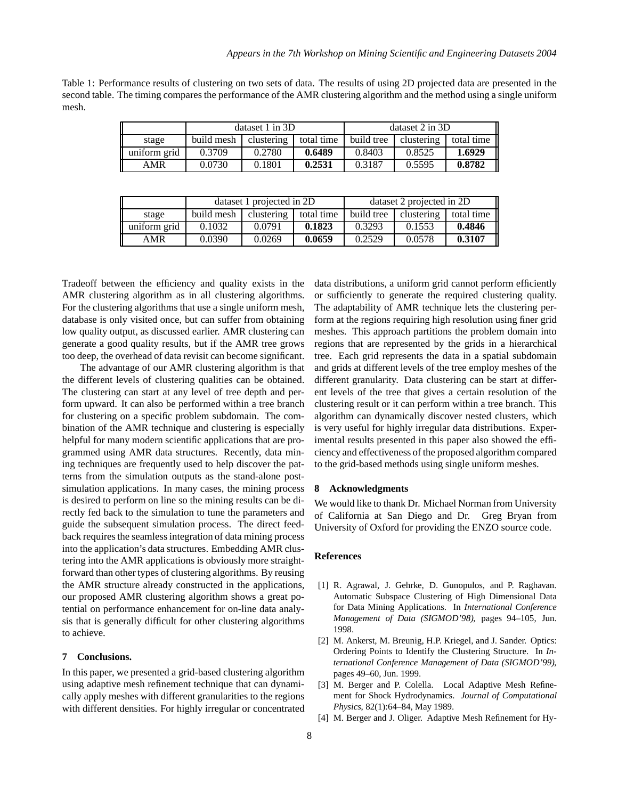Table 1: Performance results of clustering on two sets of data. The results of using 2D projected data are presented in the second table. The timing compares the performance of the AMR clustering algorithm and the method using a single uniform mesh.

|              | dataset $1$ in $3D$   |        |            | dataset $2$ in $3D$ |            |            |
|--------------|-----------------------|--------|------------|---------------------|------------|------------|
| stage        | build mesh clustering |        | total time | build tree          | clustering | total time |
| uniform grid | 0.3709                | 0.2780 | 0.6489     | 0.8403              | 0.8525     | 1.6929     |
| AMR          | 0.0730                | 0.1801 | 0.2531     | 0.3187              | 0.5595     | 0.8782     |

|              | dataset 1 projected in 2D |            |            | dataset 2 projected in 2D |            |            |
|--------------|---------------------------|------------|------------|---------------------------|------------|------------|
| stage        | build mesh                | clustering | total time | build tree                | clustering | total time |
| uniform grid | 0.1032                    | 0.0791     | 0.1823     | 0.3293                    | 0.1553     | 0.4846     |
| AMR          | 0.0390                    | 0.0269     | 0.0659     | 0.2529                    | 0.0578     | 0.3107     |

Tradeoff between the efficiency and quality exists in the AMR clustering algorithm as in all clustering algorithms. For the clustering algorithms that use a single uniform mesh, database is only visited once, but can suffer from obtaining low quality output, as discussed earlier. AMR clustering can generate a good quality results, but if the AMR tree grows too deep, the overhead of data revisit can become significant.

The advantage of our AMR clustering algorithm is that the different levels of clustering qualities can be obtained. The clustering can start at any level of tree depth and perform upward. It can also be performed within a tree branch for clustering on a specific problem subdomain. The combination of the AMR technique and clustering is especially helpful for many modern scientific applications that are programmed using AMR data structures. Recently, data mining techniques are frequently used to help discover the patterns from the simulation outputs as the stand-alone postsimulation applications. In many cases, the mining process is desired to perform on line so the mining results can be directly fed back to the simulation to tune the parameters and guide the subsequent simulation process. The direct feedback requires the seamless integration of data mining process into the application's data structures. Embedding AMR clustering into the AMR applications is obviously more straightforward than other types of clustering algorithms. By reusing the AMR structure already constructed in the applications, our proposed AMR clustering algorithm shows a great potential on performance enhancement for on-line data analysis that is generally difficult for other clustering algorithms to achieve.

#### **7 Conclusions.**

In this paper, we presented a grid-based clustering algorithm using adaptive mesh refinement technique that can dynamically apply meshes with different granularities to the regions with different densities. For highly irregular or concentrated

data distributions, a uniform grid cannot perform efficiently or sufficiently to generate the required clustering quality. The adaptability of AMR technique lets the clustering perform at the regions requiring high resolution using finer grid meshes. This approach partitions the problem domain into regions that are represented by the grids in a hierarchical tree. Each grid represents the data in a spatial subdomain and grids at different levels of the tree employ meshes of the different granularity. Data clustering can be start at different levels of the tree that gives a certain resolution of the clustering result or it can perform within a tree branch. This algorithm can dynamically discover nested clusters, which is very useful for highly irregular data distributions. Experimental results presented in this paper also showed the efficiency and effectiveness of the proposed algorithm compared to the grid-based methods using single uniform meshes.

## **8 Acknowledgments**

We would like to thank Dr. Michael Norman from University of California at San Diego and Dr. Greg Bryan from University of Oxford for providing the ENZO source code.

#### **References**

- [1] R. Agrawal, J. Gehrke, D. Gunopulos, and P. Raghavan. Automatic Subspace Clustering of High Dimensional Data for Data Mining Applications. In *International Conference Management of Data (SIGMOD'98)*, pages 94–105, Jun. 1998.
- [2] M. Ankerst, M. Breunig, H.P. Kriegel, and J. Sander. Optics: Ordering Points to Identify the Clustering Structure. In *International Conference Management of Data (SIGMOD'99)*, pages 49–60, Jun. 1999.
- [3] M. Berger and P. Colella. Local Adaptive Mesh Refinement for Shock Hydrodynamics. *Journal of Computational Physics*, 82(1):64–84, May 1989.
- [4] M. Berger and J. Oliger. Adaptive Mesh Refinement for Hy-